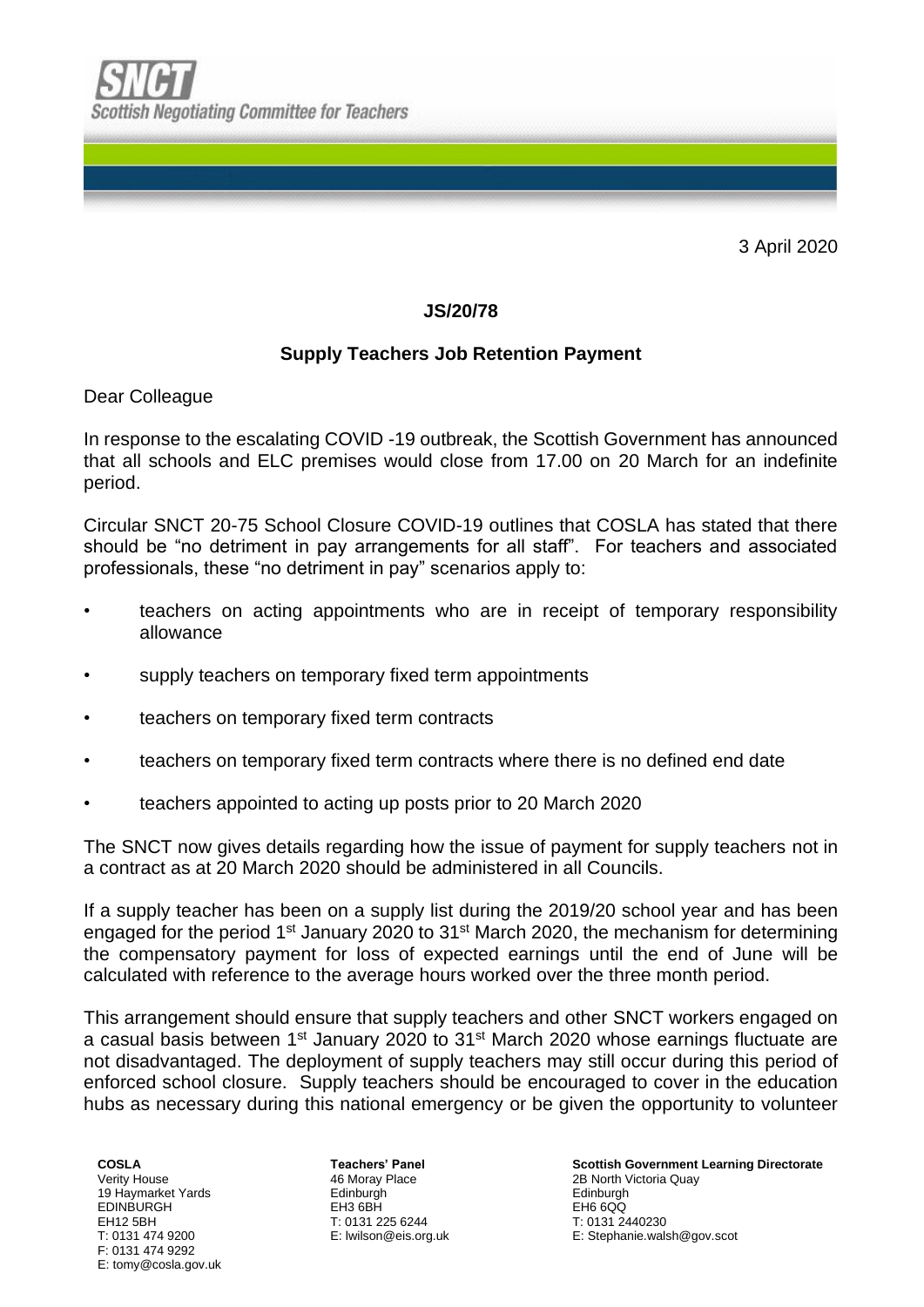

3 April 2020

## **JS/20/78**

## **Supply Teachers Job Retention Payment**

Dear Colleague

In response to the escalating COVID -19 outbreak, the Scottish Government has announced that all schools and ELC premises would close from 17.00 on 20 March for an indefinite period.

Circular SNCT 20-75 School Closure COVID-19 outlines that COSLA has stated that there should be "no detriment in pay arrangements for all staff". For teachers and associated professionals, these "no detriment in pay" scenarios apply to:

- teachers on acting appointments who are in receipt of temporary responsibility allowance
- supply teachers on temporary fixed term appointments
- teachers on temporary fixed term contracts
- teachers on temporary fixed term contracts where there is no defined end date
- teachers appointed to acting up posts prior to 20 March 2020

The SNCT now gives details regarding how the issue of payment for supply teachers not in a contract as at 20 March 2020 should be administered in all Councils.

If a supply teacher has been on a supply list during the 2019/20 school year and has been engaged for the period 1<sup>st</sup> January 2020 to 31<sup>st</sup> March 2020, the mechanism for determining the compensatory payment for loss of expected earnings until the end of June will be calculated with reference to the average hours worked over the three month period.

This arrangement should ensure that supply teachers and other SNCT workers engaged on a casual basis between 1<sup>st</sup> January 2020 to 31<sup>st</sup> March 2020 whose earnings fluctuate are not disadvantaged. The deployment of supply teachers may still occur during this period of enforced school closure. Supply teachers should be encouraged to cover in the education hubs as necessary during this national emergency or be given the opportunity to volunteer

**COSLA** Verity House 19 Haymarket Yards EDINBURGH EH12 5BH T: 0131 474 9200 F: 0131 474 9292 E: tomy@cosla.gov.uk

**Teachers' Panel** 46 Moray Place **Edinburgh** EH3 6BH T: 0131 225 6244 E: lwilson@eis.org.uk

**Scottish Government Learning Directorate** 2B North Victoria Quay Edinburgh EH6 6QQ T: 0131 2440230 E: Stephanie.walsh@gov.scot